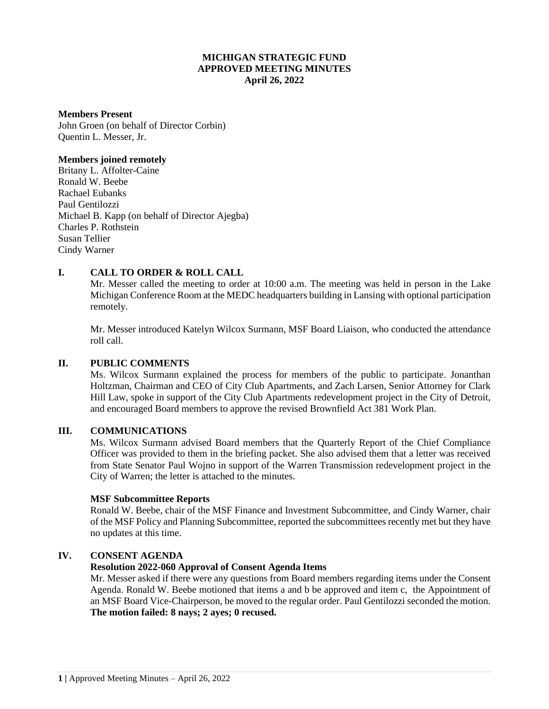# **MICHIGAN STRATEGIC FUND APPROVED MEETING MINUTES April 26, 2022**

#### **Members Present**

John Groen (on behalf of Director Corbin) Quentin L. Messer, Jr.

#### **Members joined remotely**

Britany L. Affolter-Caine Ronald W. Beebe Rachael Eubanks Paul Gentilozzi Michael B. Kapp (on behalf of Director Ajegba) Charles P. Rothstein Susan Tellier Cindy Warner

# **I. CALL TO ORDER & ROLL CALL**

Mr. Messer called the meeting to order at 10:00 a.m. The meeting was held in person in the Lake Michigan Conference Room at the MEDC headquarters building in Lansing with optional participation remotely.

Mr. Messer introduced Katelyn Wilcox Surmann, MSF Board Liaison, who conducted the attendance roll call.

## **II. PUBLIC COMMENTS**

Ms. Wilcox Surmann explained the process for members of the public to participate. Jonanthan Holtzman, Chairman and CEO of City Club Apartments, and Zach Larsen, Senior Attorney for Clark Hill Law, spoke in support of the City Club Apartments redevelopment project in the City of Detroit, and encouraged Board members to approve the revised Brownfield Act 381 Work Plan.

## **III. COMMUNICATIONS**

Ms. Wilcox Surmann advised Board members that the Quarterly Report of the Chief Compliance Officer was provided to them in the briefing packet. She also advised them that a letter was received from State Senator Paul Wojno in support of the Warren Transmission redevelopment project in the City of Warren; the letter is attached to the minutes.

#### **MSF Subcommittee Reports**

Ronald W. Beebe, chair of the MSF Finance and Investment Subcommittee, and Cindy Warner, chair of the MSF Policy and Planning Subcommittee, reported the subcommittees recently met but they have no updates at this time.

## **IV. CONSENT AGENDA**

## **Resolution 2022-060 Approval of Consent Agenda Items**

Mr. Messer asked if there were any questions from Board members regarding items under the Consent Agenda. Ronald W. Beebe motioned that items a and b be approved and item c, the Appointment of an MSF Board Vice-Chairperson, be moved to the regular order. Paul Gentilozzi seconded the motion. **The motion failed: 8 nays; 2 ayes; 0 recused.**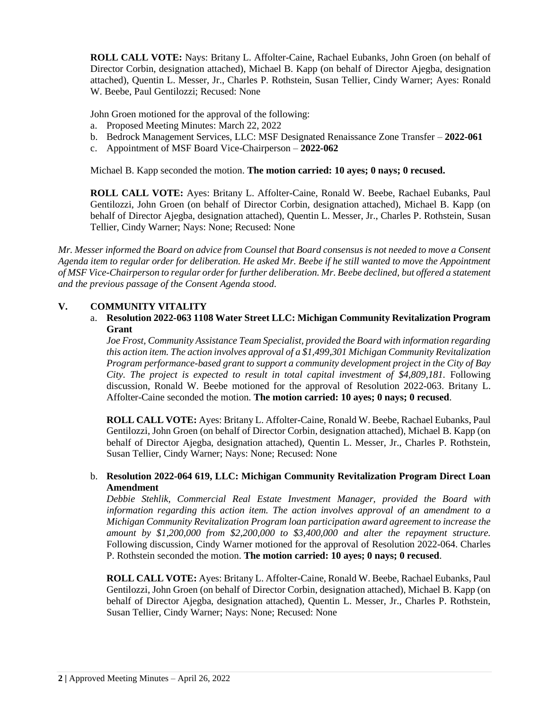**ROLL CALL VOTE:** Nays: Britany L. Affolter-Caine, Rachael Eubanks, John Groen (on behalf of Director Corbin, designation attached), Michael B. Kapp (on behalf of Director Ajegba, designation attached), Quentin L. Messer, Jr., Charles P. Rothstein, Susan Tellier, Cindy Warner; Ayes: Ronald W. Beebe, Paul Gentilozzi; Recused: None

John Groen motioned for the approval of the following:

- a. Proposed Meeting Minutes: March 22, 2022
- b. Bedrock Management Services, LLC: MSF Designated Renaissance Zone Transfer **2022-061**
- c. Appointment of MSF Board Vice-Chairperson **2022-062**

Michael B. Kapp seconded the motion. **The motion carried: 10 ayes; 0 nays; 0 recused.**

**ROLL CALL VOTE:** Ayes: Britany L. Affolter-Caine, Ronald W. Beebe, Rachael Eubanks, Paul Gentilozzi, John Groen (on behalf of Director Corbin, designation attached), Michael B. Kapp (on behalf of Director Ajegba, designation attached), Quentin L. Messer, Jr., Charles P. Rothstein, Susan Tellier, Cindy Warner; Nays: None; Recused: None

*Mr. Messer informed the Board on advice from Counsel that Board consensus is not needed to move a Consent Agenda item to regular order for deliberation. He asked Mr. Beebe if he still wanted to move the Appointment of MSF Vice-Chairperson to regular order for further deliberation. Mr. Beebe declined, but offered a statement and the previous passage of the Consent Agenda stood*.

## **V. COMMUNITY VITALITY**

a. **Resolution 2022-063 1108 Water Street LLC: Michigan Community Revitalization Program Grant**

*Joe Frost, Community Assistance Team Specialist, provided the Board with information regarding this action item. The action involves approval of a \$1,499,301 Michigan Community Revitalization Program performance-based grant to support a community development project in the City of Bay City. The project is expected to result in total capital investment of \$4,809,181.* Following discussion, Ronald W. Beebe motioned for the approval of Resolution 2022-063. Britany L. Affolter-Caine seconded the motion. **The motion carried: 10 ayes; 0 nays; 0 recused**.

**ROLL CALL VOTE:** Ayes: Britany L. Affolter-Caine, Ronald W. Beebe, Rachael Eubanks, Paul Gentilozzi, John Groen (on behalf of Director Corbin, designation attached), Michael B. Kapp (on behalf of Director Ajegba, designation attached), Quentin L. Messer, Jr., Charles P. Rothstein, Susan Tellier, Cindy Warner; Nays: None; Recused: None

# b. **Resolution 2022-064 619, LLC: Michigan Community Revitalization Program Direct Loan Amendment**

*Debbie Stehlik, Commercial Real Estate Investment Manager, provided the Board with information regarding this action item. The action involves approval of an amendment to a Michigan Community Revitalization Program loan participation award agreement to increase the amount by \$1,200,000 from \$2,200,000 to \$3,400,000 and alter the repayment structure.*  Following discussion, Cindy Warner motioned for the approval of Resolution 2022-064. Charles P. Rothstein seconded the motion. **The motion carried: 10 ayes; 0 nays; 0 recused**.

**ROLL CALL VOTE:** Ayes: Britany L. Affolter-Caine, Ronald W. Beebe, Rachael Eubanks, Paul Gentilozzi, John Groen (on behalf of Director Corbin, designation attached), Michael B. Kapp (on behalf of Director Ajegba, designation attached), Quentin L. Messer, Jr., Charles P. Rothstein, Susan Tellier, Cindy Warner; Nays: None; Recused: None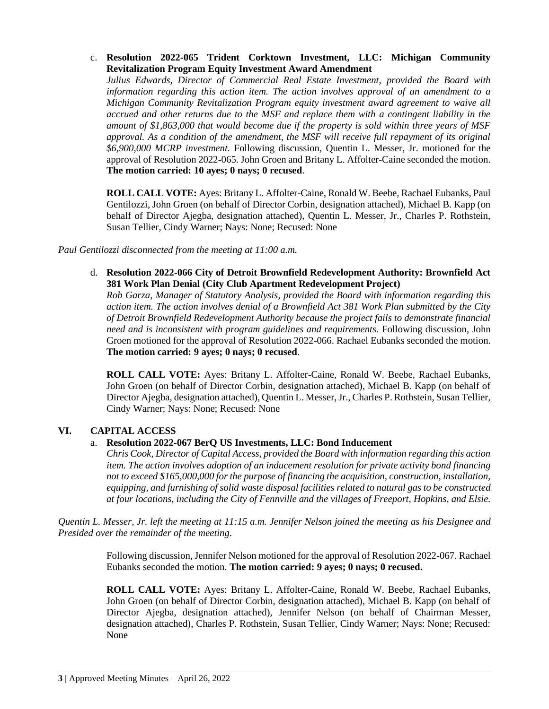c. **Resolution 2022-065 Trident Corktown Investment, LLC: Michigan Community Revitalization Program Equity Investment Award Amendment**

*Julius Edwards, Director of Commercial Real Estate Investment, provided the Board with information regarding this action item. The action involves approval of an amendment to a Michigan Community Revitalization Program equity investment award agreement to waive all accrued and other returns due to the MSF and replace them with a contingent liability in the amount of \$1,863,000 that would become due if the property is sold within three years of MSF approval. As a condition of the amendment, the MSF will receive full repayment of its original \$6,900,000 MCRP investment.* Following discussion, Quentin L. Messer, Jr. motioned for the approval of Resolution 2022-065. John Groen and Britany L. Affolter-Caine seconded the motion. **The motion carried: 10 ayes; 0 nays; 0 recused**.

**ROLL CALL VOTE:** Ayes: Britany L. Affolter-Caine, Ronald W. Beebe, Rachael Eubanks, Paul Gentilozzi, John Groen (on behalf of Director Corbin, designation attached), Michael B. Kapp (on behalf of Director Ajegba, designation attached), Quentin L. Messer, Jr., Charles P. Rothstein, Susan Tellier, Cindy Warner; Nays: None; Recused: None

*Paul Gentilozzi disconnected from the meeting at 11:00 a.m.*

d. **Resolution 2022-066 City of Detroit Brownfield Redevelopment Authority: Brownfield Act 381 Work Plan Denial (City Club Apartment Redevelopment Project)**

*Rob Garza, Manager of Statutory Analysis, provided the Board with information regarding this action item. The action involves denial of a Brownfield Act 381 Work Plan submitted by the City of Detroit Brownfield Redevelopment Authority because the project fails to demonstrate financial need and is inconsistent with program guidelines and requirements.* Following discussion, John Groen motioned for the approval of Resolution 2022-066. Rachael Eubanks seconded the motion. **The motion carried: 9 ayes; 0 nays; 0 recused**.

**ROLL CALL VOTE:** Ayes: Britany L. Affolter-Caine, Ronald W. Beebe, Rachael Eubanks, John Groen (on behalf of Director Corbin, designation attached), Michael B. Kapp (on behalf of Director Ajegba, designation attached), Quentin L. Messer, Jr., Charles P. Rothstein, Susan Tellier, Cindy Warner; Nays: None; Recused: None

## **VI. CAPITAL ACCESS**

## a. **Resolution 2022-067 BerQ US Investments, LLC: Bond Inducement**

*Chris Cook, Director of Capital Access, provided the Board with information regarding this action item. The action involves adoption of an inducement resolution for private activity bond financing not to exceed \$165,000,000 for the purpose of financing the acquisition, construction, installation, equipping, and furnishing of solid waste disposal facilities related to natural gas to be constructed at four locations, including the City of Fennville and the villages of Freeport, Hopkins, and Elsie.*

*Quentin L. Messer, Jr. left the meeting at 11:15 a.m. Jennifer Nelson joined the meeting as his Designee and Presided over the remainder of the meeting.*

> Following discussion, Jennifer Nelson motioned for the approval of Resolution 2022-067. Rachael Eubanks seconded the motion. **The motion carried: 9 ayes; 0 nays; 0 recused.**

> **ROLL CALL VOTE:** Ayes: Britany L. Affolter-Caine, Ronald W. Beebe, Rachael Eubanks, John Groen (on behalf of Director Corbin, designation attached), Michael B. Kapp (on behalf of Director Ajegba, designation attached), Jennifer Nelson (on behalf of Chairman Messer, designation attached), Charles P. Rothstein, Susan Tellier, Cindy Warner; Nays: None; Recused: None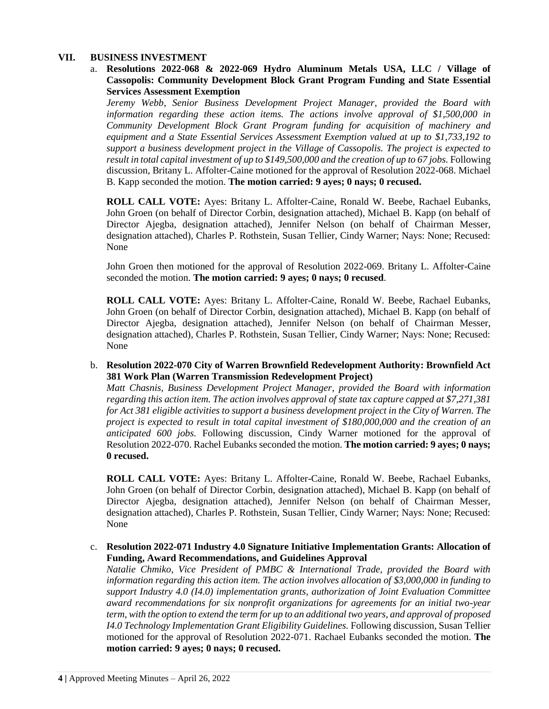## **VII. BUSINESS INVESTMENT**

a. **Resolutions 2022-068 & 2022-069 Hydro Aluminum Metals USA, LLC / Village of Cassopolis: Community Development Block Grant Program Funding and State Essential Services Assessment Exemption**

*Jeremy Webb, Senior Business Development Project Manager, provided the Board with information regarding these action items. The actions involve approval of \$1,500,000 in Community Development Block Grant Program funding for acquisition of machinery and equipment and a State Essential Services Assessment Exemption valued at up to \$1,733,192 to support a business development project in the Village of Cassopolis. The project is expected to result in total capital investment of up to \$149,500,000 and the creation of up to 67 jobs.* Following discussion, Britany L. Affolter-Caine motioned for the approval of Resolution 2022-068. Michael B. Kapp seconded the motion. **The motion carried: 9 ayes; 0 nays; 0 recused.** 

**ROLL CALL VOTE:** Ayes: Britany L. Affolter-Caine, Ronald W. Beebe, Rachael Eubanks, John Groen (on behalf of Director Corbin, designation attached), Michael B. Kapp (on behalf of Director Ajegba, designation attached), Jennifer Nelson (on behalf of Chairman Messer, designation attached), Charles P. Rothstein, Susan Tellier, Cindy Warner; Nays: None; Recused: None

John Groen then motioned for the approval of Resolution 2022-069. Britany L. Affolter-Caine seconded the motion. **The motion carried: 9 ayes; 0 nays; 0 recused**.

**ROLL CALL VOTE:** Ayes: Britany L. Affolter-Caine, Ronald W. Beebe, Rachael Eubanks, John Groen (on behalf of Director Corbin, designation attached), Michael B. Kapp (on behalf of Director Ajegba, designation attached), Jennifer Nelson (on behalf of Chairman Messer, designation attached), Charles P. Rothstein, Susan Tellier, Cindy Warner; Nays: None; Recused: None

b. **Resolution 2022-070 City of Warren Brownfield Redevelopment Authority: Brownfield Act 381 Work Plan (Warren Transmission Redevelopment Project)**

*Matt Chasnis, Business Development Project Manager, provided the Board with information regarding this action item. The action involves approval of state tax capture capped at \$7,271,381 for Act 381 eligible activities to support a business development project in the City of Warren. The project is expected to result in total capital investment of \$180,000,000 and the creation of an anticipated 600 jobs.* Following discussion, Cindy Warner motioned for the approval of Resolution 2022-070. Rachel Eubanks seconded the motion. **The motion carried: 9 ayes; 0 nays; 0 recused.** 

**ROLL CALL VOTE:** Ayes: Britany L. Affolter-Caine, Ronald W. Beebe, Rachael Eubanks, John Groen (on behalf of Director Corbin, designation attached), Michael B. Kapp (on behalf of Director Ajegba, designation attached), Jennifer Nelson (on behalf of Chairman Messer, designation attached), Charles P. Rothstein, Susan Tellier, Cindy Warner; Nays: None; Recused: None

## c. **Resolution 2022-071 Industry 4.0 Signature Initiative Implementation Grants: Allocation of Funding, Award Recommendations, and Guidelines Approval**

*Natalie Chmiko, Vice President of PMBC & International Trade, provided the Board with information regarding this action item. The action involves allocation of \$3,000,000 in funding to support Industry 4.0 (I4.0) implementation grants, authorization of Joint Evaluation Committee award recommendations for six nonprofit organizations for agreements for an initial two-year term, with the option to extend the term for up to an additional two years, and approval of proposed I4.0 Technology Implementation Grant Eligibility Guidelines.* Following discussion, Susan Tellier motioned for the approval of Resolution 2022-071. Rachael Eubanks seconded the motion. **The motion carried: 9 ayes; 0 nays; 0 recused.**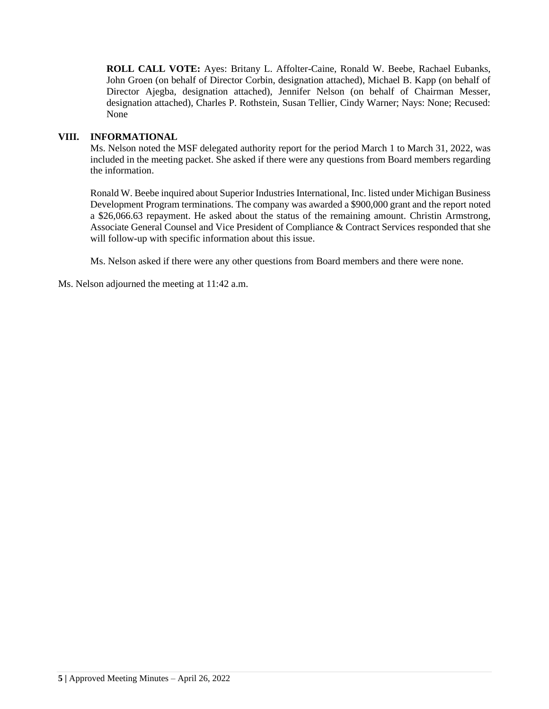**ROLL CALL VOTE:** Ayes: Britany L. Affolter-Caine, Ronald W. Beebe, Rachael Eubanks, John Groen (on behalf of Director Corbin, designation attached), Michael B. Kapp (on behalf of Director Ajegba, designation attached), Jennifer Nelson (on behalf of Chairman Messer, designation attached), Charles P. Rothstein, Susan Tellier, Cindy Warner; Nays: None; Recused: None

#### **VIII. INFORMATIONAL**

Ms. Nelson noted the MSF delegated authority report for the period March 1 to March 31, 2022, was included in the meeting packet. She asked if there were any questions from Board members regarding the information.

Ronald W. Beebe inquired about Superior Industries International, Inc. listed under Michigan Business Development Program terminations. The company was awarded a \$900,000 grant and the report noted a \$26,066.63 repayment. He asked about the status of the remaining amount. Christin Armstrong, Associate General Counsel and Vice President of Compliance & Contract Services responded that she will follow-up with specific information about this issue.

Ms. Nelson asked if there were any other questions from Board members and there were none.

Ms. Nelson adjourned the meeting at 11:42 a.m.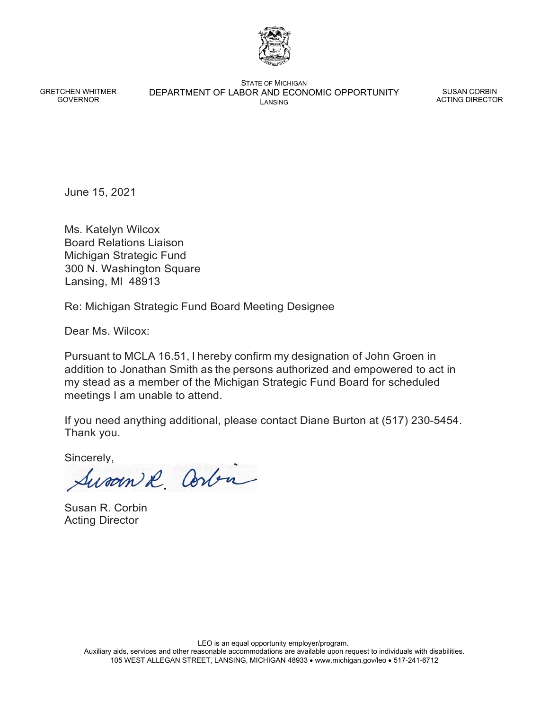

GRETCHEN WHITMER GOVERNOR

STATE OF MICHIGAN DEPARTMENT OF LABOR AND ECONOMIC OPPORTUNITY LANSING

SUSAN CORBIN ACTING DIRECTOR

June 15, 2021

Ms. Katelyn Wilcox Board Relations Liaison Michigan Strategic Fund 300 N. Washington Square Lansing, Ml 48913

Re: Michigan Strategic Fund Board Meeting Designee

Dear Ms. Wilcox:

Pursuant to MCLA 16.51, I hereby confirm my designation of John Groen in addition to Jonathan Smith as the persons authorized and empowered to act in my stead as a member of the Michigan Strategic Fund Board for scheduled meetings I am unable to attend.

If you need anything additional, please contact Diane Burton at (517) 230-5454. Thank you.

Sincerely,

Susan & Corbin

Susan R. Corbin Acting Director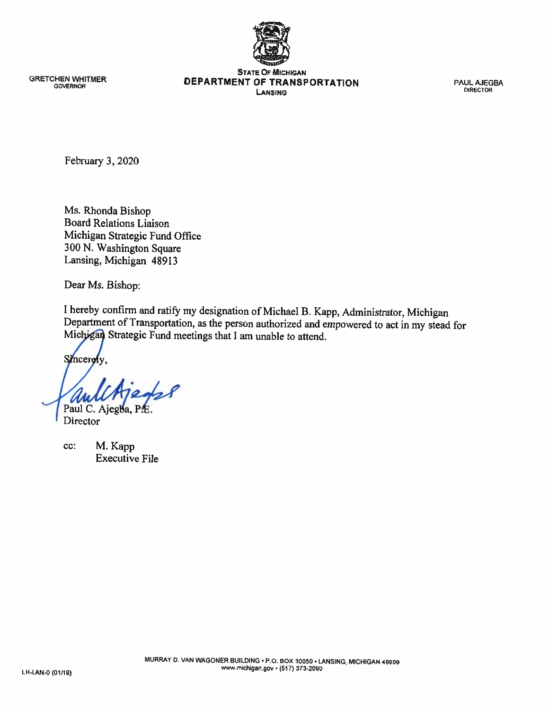

**GRETCHEN WHITMER GOVERNOR** 

**STATE OF MICHIGAN** DEPARTMENT OF TRANSPORTATION LANSING

**PAUL AJEGBA DIRECTOR** 

February 3, 2020

Ms. Rhonda Bishop **Board Relations Liaison** Michigan Strategic Fund Office 300 N. Washington Square Lansing, Michigan 48913

Dear Ms. Bishop:

I hereby confirm and ratify my designation of Michael B. Kapp, Administrator, Michigan Department of Transportation, as the person authorized and empowered to act in my stead for Michigan Strategic Fund meetings that I am unable to attend.

Smcerely.

Paul C. Ajegba,

Director

M. Kapp cc: **Executive File**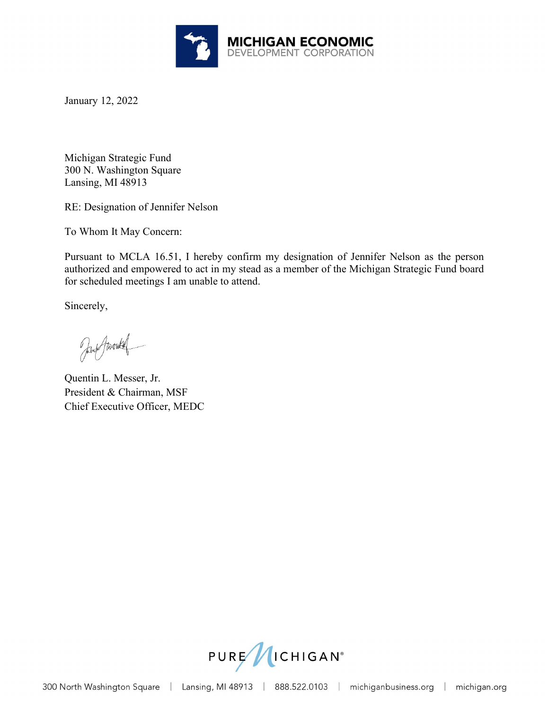

January 12, 2022

Michigan Strategic Fund 300 N. Washington Square Lansing, MI 48913

RE: Designation of Jennifer Nelson

To Whom It May Concern:

Pursuant to MCLA 16.51, I hereby confirm my designation of Jennifer Nelson as the person authorized and empowered to act in my stead as a member of the Michigan Strategic Fund board for scheduled meetings I am unable to attend.

Sincerely,

Jany Javoukel

Quentin L. Messer, Jr. President & Chairman, MSF Chief Executive Officer, MEDC